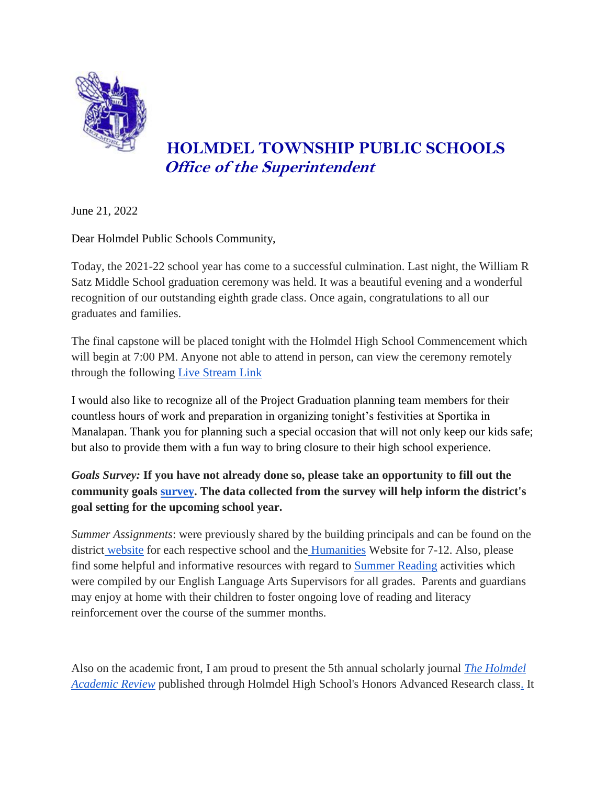

## **HOLMDEL TOWNSHIP PUBLIC SCHOOLS Office of the Superintendent**

June 21, 2022

Dear Holmdel Public Schools Community,

Today, the 2021-22 school year has come to a successful culmination. Last night, the William R Satz Middle School graduation ceremony was held. It was a beautiful evening and a wonderful recognition of our outstanding eighth grade class. Once again, congratulations to all our graduates and families.

The final capstone will be placed tonight with the Holmdel High School Commencement which will begin at 7:00 PM. Anyone not able to attend in person, can view the ceremony remotely through the following [Live Stream Link](https://youtu.be/awv1guUmZ4k)

I would also like to recognize all of the Project Graduation planning team members for their countless hours of work and preparation in organizing tonight's festivities at Sportika in Manalapan. Thank you for planning such a special occasion that will not only keep our kids safe; but also to provide them with a fun way to bring closure to their high school experience.

*Goals Survey:* **If you have not already done so, please take an opportunity to fill out the community goals [survey.](https://holmdelschools.qualtrics.com/jfe/form/SV_7ZH8hWQLScKhEfc) The data collected from the survey will help inform the district's goal setting for the upcoming school year.** 

*Summer Assignments*: were previously shared by the building principals and can be found on the district [website](https://sites.google.com/holmdelschools.org/curriculum-and-instruction/home) for each respective school and the [Humanities](https://sites.google.com/holmdelschools.org/humanities/summer-reading) Website for 7-12. Also, please find some helpful and informative resources with regard t[o](https://docs.google.com/document/d/13sPvZ7zBeSA70FVgZEjLAdVUtcyceY4OiV_5_ZJvrHk/edit?usp=sharing) [Summer Reading](https://docs.google.com/document/d/13sPvZ7zBeSA70FVgZEjLAdVUtcyceY4OiV_5_ZJvrHk/edit?usp=sharing) activities which were compiled by our English Language Arts Supervisors for all grades. Parents and guardians may enjoy at home with their children to foster ongoing love of reading and literacy reinforcement over the course of the summer months.

Also on the academic front, I am proud to present the 5th annual scholarly journal *[The Holmdel](https://docs.google.com/document/d/1JzotTXaJhxGeRLVHqo0vH2WUoPebBDSqgjJb-jztlAE/edit?usp=sharing)  [Academic Review](https://docs.google.com/document/d/1JzotTXaJhxGeRLVHqo0vH2WUoPebBDSqgjJb-jztlAE/edit?usp=sharing)* [published through Holmdel High School's Honors Advanced Research class.](https://docs.google.com/document/d/1JzotTXaJhxGeRLVHqo0vH2WUoPebBDSqgjJb-jztlAE/edit?usp=sharing) It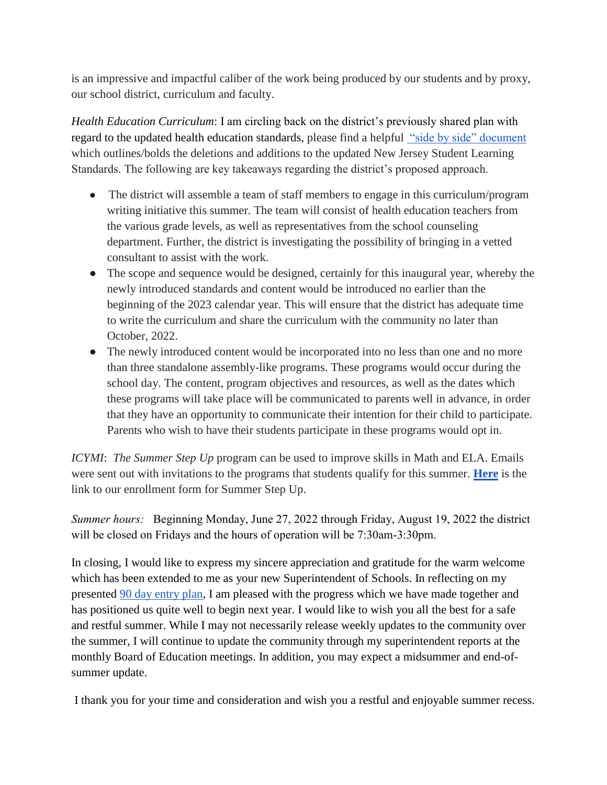is an impressive and impactful caliber of the work being produced by our students and by proxy, our school district, curriculum and faculty.

*Health Education Curriculum*: I am circling back on the district's previously shared plan with regard to the updated health education standards, please find a helpfu[l](https://www.nj.gov/education/sboe/meetings/agenda/2020/June/public/5e5a%202020%20NJSLS-CHPE.pdf) ["side by side" document](https://www.nj.gov/education/sboe/meetings/agenda/2020/June/public/5e5a%202020%20NJSLS-CHPE.pdf) which outlines/bolds the deletions and additions to the updated New Jersey Student Learning Standards. The following are key takeaways regarding the district's proposed approach.

- The district will assemble a team of staff members to engage in this curriculum/program writing initiative this summer. The team will consist of health education teachers from the various grade levels, as well as representatives from the school counseling department. Further, the district is investigating the possibility of bringing in a vetted consultant to assist with the work.
- The scope and sequence would be designed, certainly for this inaugural year, whereby the newly introduced standards and content would be introduced no earlier than the beginning of the 2023 calendar year. This will ensure that the district has adequate time to write the curriculum and share the curriculum with the community no later than October, 2022.
- The newly introduced content would be incorporated into no less than one and no more than three standalone assembly-like programs. These programs would occur during the school day. The content, program objectives and resources, as well as the dates which these programs will take place will be communicated to parents well in advance, in order that they have an opportunity to communicate their intention for their child to participate. Parents who wish to have their students participate in these programs would opt in.

*ICYMI*: *The Summer Step Up* program can be used to improve skills in Math and ELA. Emails were sent out with invitations to the programs that students qualify for this summer[.](https://forms.gle/jL24TYMwfAf1YgVY6) **[Here](https://forms.gle/jL24TYMwfAf1YgVY6)** is the link to our enrollment form for Summer Step Up.

*Summer hours:* Beginning Monday, June 27, 2022 through Friday, August 19, 2022 the district will be closed on Fridays and the hours of operation will be 7:30am-3:30pm.

In closing, I would like to express my sincere appreciation and gratitude for the warm welcome which has been extended to me as your new Superintendent of Schools. In reflecting on my presented [90 day entry plan,](https://www.holmdelschools.org/cms/lib/NJ50010868/Centricity/domain/4/district/super%20communications/DrCasconeSuperintendentEntryPlan-HolmdelPublicSchools.pdf) I am pleased with the progress which we have made together and has positioned us quite well to begin next year. I would like to wish you all the best for a safe and restful summer. While I may not necessarily release weekly updates to the community over the summer, I will continue to update the community through my superintendent reports at the monthly Board of Education meetings. In addition, you may expect a midsummer and end-ofsummer update.

I thank you for your time and consideration and wish you a restful and enjoyable summer recess.